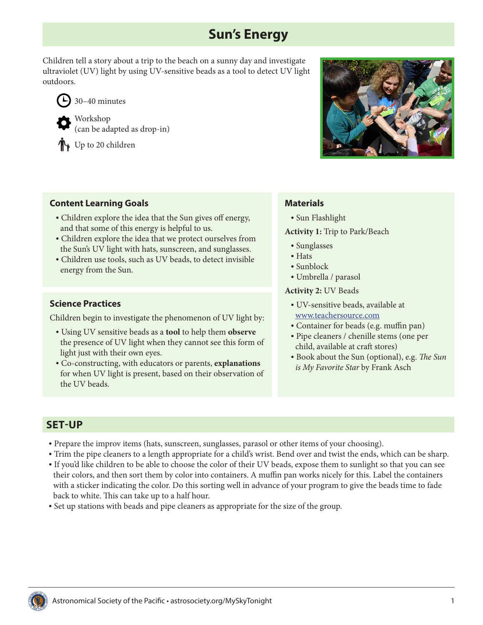# **Sun's Energy**

Children tell a story about a trip to the beach on a sunny day and investigate ultraviolet (UV) light by using UV-sensitive beads as a tool to detect UV light outdoors.



Workshop (can be adapted as drop-in)

Up to 20 children



### **Content Learning Goals**

- Children explore the idea that the Sun gives off energy, and that some of this energy is helpful to us.
- Children explore the idea that we protect ourselves from the Sun's UV light with hats, sunscreen, and sunglasses.
- Children use tools, such as UV beads, to detect invisible energy from the Sun.

### **Science Practices**

Children begin to investigate the phenomenon of UV light by:

- Using UV sensitive beads as a **tool** to help them **observe**  the presence of UV light when they cannot see this form of light just with their own eyes.
- Co-constructing, with educators or parents, **explanations** for when UV light is present, based on their observation of the UV beads.

### **Materials**

• Sun Flashlight

**Activity 1:** Trip to Park/Beach

- Sunglasses
- Hats
- Sunblock
- Umbrella / parasol

#### **Activity 2:** UV Beads

- UV-sensitive beads, available at [www.teachersource.com](http://www.teachersource.com)
- Container for beads (e.g. muffin pan)
- Pipe cleaners / chenille stems (one per child, available at craft stores)
- Book about the Sun (optional), e.g. *The Sun is My Favorite Star* by Frank Asch

### **SET-UP**

- Prepare the improv items (hats, sunscreen, sunglasses, parasol or other items of your choosing).
- Trim the pipe cleaners to a length appropriate for a child's wrist. Bend over and twist the ends, which can be sharp.
- If you'd like children to be able to choose the color of their UV beads, expose them to sunlight so that you can see their colors, and then sort them by color into containers. A muffin pan works nicely for this. Label the containers with a sticker indicating the color. Do this sorting well in advance of your program to give the beads time to fade back to white. This can take up to a half hour.
- Set up stations with beads and pipe cleaners as appropriate for the size of the group.

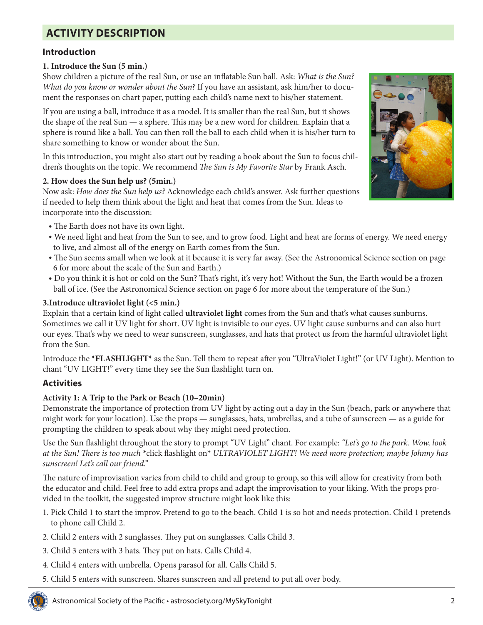# **ACTIVITY DESCRIPTION**

### **Introduction**

#### **1. Introduce the Sun (5 min.)**

Show children a picture of the real Sun, or use an inflatable Sun ball. Ask: *What is the Sun? What do you know or wonder about the Sun?* If you have an assistant, ask him/her to document the responses on chart paper, putting each child's name next to his/her statement.

If you are using a ball, introduce it as a model. It is smaller than the real Sun, but it shows the shape of the real Sun — a sphere. This may be a new word for children. Explain that a sphere is round like a ball. You can then roll the ball to each child when it is his/her turn to share something to know or wonder about the Sun.

In this introduction, you might also start out by reading a book about the Sun to focus children's thoughts on the topic. We recommend *The Sun is My Favorite Star* by Frank Asch.

#### **2. How does the Sun help us? (5min.)**

Now ask: *How does the Sun help us?* Acknowledge each child's answer. Ask further questions if needed to help them think about the light and heat that comes from the Sun. Ideas to incorporate into the discussion:

- The Earth does not have its own light.
- We need light and heat from the Sun to see, and to grow food. Light and heat are forms of energy. We need energy to live, and almost all of the energy on Earth comes from the Sun.
- The Sun seems small when we look at it because it is very far away. (See the Astronomical Science section on [page](#page-5-0)  [6](#page-5-0) for more about the scale of the Sun and Earth.)
- Do you think it is hot or cold on the Sun? That's right, it's very hot! Without the Sun, the Earth would be a frozen ball of ice. (See the Astronomical Science section on [page 6](#page-5-0) for more about the temperature of the Sun.)

#### **3.Introduce ultraviolet light (<5 min.)**

Explain that a certain kind of light called **ultraviolet light** comes from the Sun and that's what causes sunburns. Sometimes we call it UV light for short. UV light is invisible to our eyes. UV light cause sunburns and can also hurt our eyes. That's why we need to wear sunscreen, sunglasses, and hats that protect us from the harmful ultraviolet light from the Sun.

Introduce the **\*FLASHLIGHT\*** as the Sun. Tell them to repeat after you "UltraViolet Light!" (or UV Light). Mention to chant "UV LIGHT!" every time they see the Sun flashlight turn on.

### **Activities**

#### **Activity 1: A Trip to the Park or Beach (10–20min)**

Demonstrate the importance of protection from UV light by acting out a day in the Sun (beach, park or anywhere that might work for your location). Use the props — sunglasses, hats, umbrellas, and a tube of sunscreen — as a guide for prompting the children to speak about why they might need protection.

Use the Sun flashlight throughout the story to prompt "UV Light" chant. For example: *"Let's go to the park. Wow, look at the Sun! There is too much* \*click flashlight on\* *ULTRAVIOLET LIGHT! We need more protection; maybe Johnny has sunscreen! Let's call our friend."*

The nature of improvisation varies from child to child and group to group, so this will allow for creativity from both the educator and child. Feel free to add extra props and adapt the improvisation to your liking. With the props provided in the toolkit, the suggested improv structure might look like this:

- 1. Pick Child 1 to start the improv. Pretend to go to the beach. Child 1 is so hot and needs protection. Child 1 pretends to phone call Child 2.
- 2. Child 2 enters with 2 sunglasses. They put on sunglasses. Calls Child 3.
- 3. Child 3 enters with 3 hats. They put on hats. Calls Child 4.
- 4. Child 4 enters with umbrella. Opens parasol for all. Calls Child 5.
- 5. Child 5 enters with sunscreen. Shares sunscreen and all pretend to put all over body.



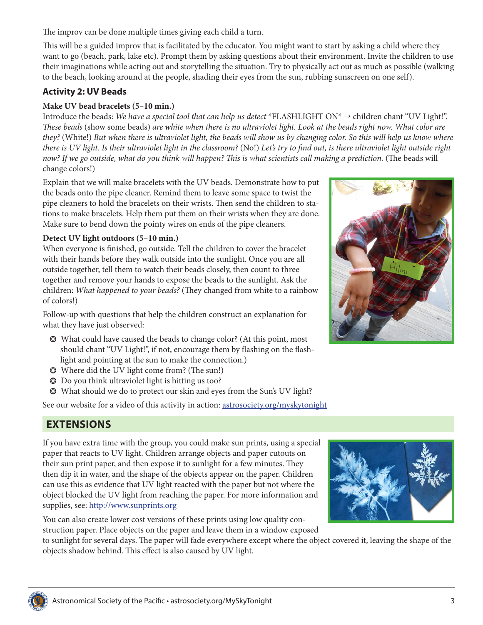The improv can be done multiple times giving each child a turn.

This will be a guided improv that is facilitated by the educator. You might want to start by asking a child where they want to go (beach, park, lake etc). Prompt them by asking questions about their environment. Invite the children to use their imaginations while acting out and storytelling the situation. Try to physically act out as much as possible (walking to the beach, looking around at the people, shading their eyes from the sun, rubbing sunscreen on one self).

### **Activity 2: UV Beads**

### **Make UV bead bracelets (5–10 min.)**

Introduce the beads: *We have a special tool that can help us detect* \*FLASHLIGHT ON\* → children chant "UV Light!". *These beads* (show some beads) *are white when there is no ultraviolet light. Look at the beads right now. What color are they?* (White!) *But when there is ultraviolet light, the beads will show us by changing color. So this will help us know where there is UV light. Is their ultraviolet light in the classroom?* (No!) *Let's try to find out, is there ultraviolet light outside right now? If we go outside, what do you think will happen? This is what scientists call making a prediction.* (The beads will change colors!)

Explain that we will make bracelets with the UV beads. Demonstrate how to put the beads onto the pipe cleaner. Remind them to leave some space to twist the pipe cleaners to hold the bracelets on their wrists. Then send the children to stations to make bracelets. Help them put them on their wrists when they are done. Make sure to bend down the pointy wires on ends of the pipe cleaners.

### **Detect UV light outdoors (5–10 min.)**

When everyone is finished, go outside. Tell the children to cover the bracelet with their hands before they walk outside into the sunlight. Once you are all outside together, tell them to watch their beads closely, then count to three together and remove your hands to expose the beads to the sunlight. Ask the children: *What happened to your beads?* (They changed from white to a rainbow of colors!)

Follow-up with questions that help the children construct an explanation for what they have just observed:

- ❂ What could have caused the beads to change color? (At this point, most should chant "UV Light!", if not, encourage them by flashing on the flashlight and pointing at the sun to make the connection.)
- ❂ Where did the UV light come from? (The sun!)
- ❂ Do you think ultraviolet light is hitting us too?
- ❂ What should we do to protect our skin and eyes from the Sun's UV light?

See our website for a video of this activity in action: [astrosociety.org/myskytonight](http://astrosociety.org/myskytonight)

## **EXTENSIONS**

If you have extra time with the group, you could make sun prints, using a special paper that reacts to UV light. Children arrange objects and paper cutouts on their sun print paper, and then expose it to sunlight for a few minutes. They then dip it in water, and the shape of the objects appear on the paper. Children can use this as evidence that UV light reacted with the paper but not where the object blocked the UV light from reaching the paper. For more information and supplies, see:<http://www.sunprints.org>

You can also create lower cost versions of these prints using low quality construction paper. Place objects on the paper and leave them in a window exposed

to sunlight for several days. The paper will fade everywhere except where the object covered it, leaving the shape of the objects shadow behind. This effect is also caused by UV light.







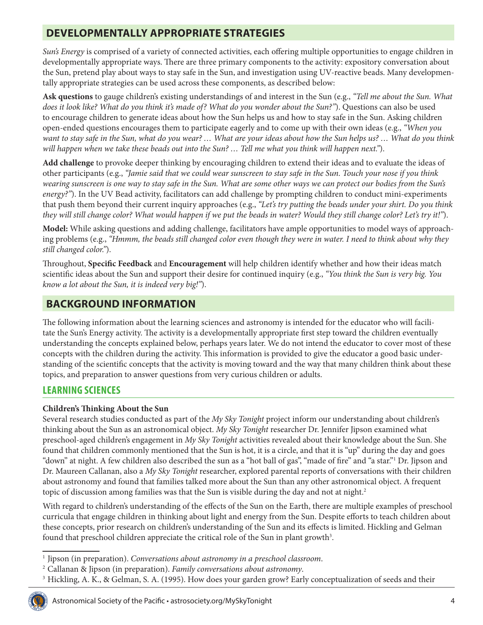# **DEVELOPMENTALLY APPROPRIATE STRATEGIES**

*Sun's Energy* is comprised of a variety of connected activities, each offering multiple opportunities to engage children in developmentally appropriate ways. There are three primary components to the activity: expository conversation about the Sun, pretend play about ways to stay safe in the Sun, and investigation using UV-reactive beads. Many developmentally appropriate strategies can be used across these components, as described below:

**Ask questions** to gauge children's existing understandings of and interest in the Sun (e.g., *"Tell me about the Sun. What does it look like? What do you think it's made of? What do you wonder about the Sun?"*). Questions can also be used to encourage children to generate ideas about how the Sun helps us and how to stay safe in the Sun. Asking children open-ended questions encourages them to participate eagerly and to come up with their own ideas (e.g., *"When you want to stay safe in the Sun, what do you wear? … What are your ideas about how the Sun helps us? … What do you think will happen when we take these beads out into the Sun? … Tell me what you think will happen next."*).

**Add challenge** to provoke deeper thinking by encouraging children to extend their ideas and to evaluate the ideas of other participants (e.g., *"Jamie said that we could wear sunscreen to stay safe in the Sun. Touch your nose if you think wearing sunscreen is one way to stay safe in the Sun. What are some other ways we can protect our bodies from the Sun's energy?"*). In the UV Bead activity, facilitators can add challenge by prompting children to conduct mini-experiments that push them beyond their current inquiry approaches (e.g., *"Let's try putting the beads under your shirt. Do you think they will still change color? What would happen if we put the beads in water? Would they still change color? Let's try it!"*).

**Model:** While asking questions and adding challenge, facilitators have ample opportunities to model ways of approaching problems (e.g., *"Hmmm, the beads still changed color even though they were in water. I need to think about why they still changed color."*).

Throughout, **Specific Feedback** and **Encouragement** will help children identify whether and how their ideas match scientific ideas about the Sun and support their desire for continued inquiry (e.g., *"You think the Sun is very big. You know a lot about the Sun, it is indeed very big!"*).

### **BACKGROUND INFORMATION**

The following information about the learning sciences and astronomy is intended for the educator who will facilitate the Sun's Energy activity. The activity is a developmentally appropriate first step toward the children eventually understanding the concepts explained below, perhaps years later. We do not intend the educator to cover most of these concepts with the children during the activity. This information is provided to give the educator a good basic understanding of the scientific concepts that the activity is moving toward and the way that many children think about these topics, and preparation to answer questions from very curious children or adults.

### **LEARNING SCIENCES**

### **Children's Thinking About the Sun**

Several research studies conducted as part of the *My Sky Tonight* project inform our understanding about children's thinking about the Sun as an astronomical object. *My Sky Tonight* researcher Dr. Jennifer Jipson examined what preschool-aged children's engagement in *My Sky Tonight* activities revealed about their knowledge about the Sun. She found that children commonly mentioned that the Sun is hot, it is a circle, and that it is "up" during the day and goes "down" at night. A few children also described the sun as a "hot ball of gas", "made of fire" and "a star."1 Dr. Jipson and Dr. Maureen Callanan, also a *My Sky Tonight* researcher, explored parental reports of conversations with their children about astronomy and found that families talked more about the Sun than any other astronomical object. A frequent topic of discussion among families was that the Sun is visible during the day and not at night.<sup>2</sup>

With regard to children's understanding of the effects of the Sun on the Earth, there are multiple examples of preschool curricula that engage children in thinking about light and energy from the Sun. Despite efforts to teach children about these concepts, prior research on children's understanding of the Sun and its effects is limited. Hickling and Gelman found that preschool children appreciate the critical role of the Sun in plant growth<sup>3</sup>.

<sup>3</sup> Hickling, A. K., & Gelman, S. A. (1995). How does your garden grow? Early conceptualization of seeds and their



<sup>1</sup> Jipson (in preparation). *Conversations about astronomy in a preschool classroom*.

<sup>2</sup> Callanan & Jipson (in preparation). *Family conversations about astronomy*.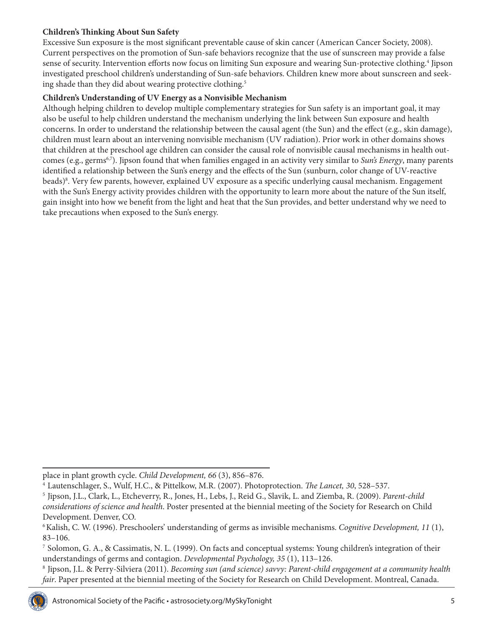### **Children's Thinking About Sun Safety**

Excessive Sun exposure is the most significant preventable cause of skin cancer (American Cancer Society, 2008). Current perspectives on the promotion of Sun-safe behaviors recognize that the use of sunscreen may provide a false sense of security. Intervention efforts now focus on limiting Sun exposure and wearing Sun-protective clothing.<sup>4</sup> Jipson investigated preschool children's understanding of Sun-safe behaviors. Children knew more about sunscreen and seeking shade than they did about wearing protective clothing.<sup>5</sup>

### **Children's Understanding of UV Energy as a Nonvisible Mechanism**

Although helping children to develop multiple complementary strategies for Sun safety is an important goal, it may also be useful to help children understand the mechanism underlying the link between Sun exposure and health concerns. In order to understand the relationship between the causal agent (the Sun) and the effect (e.g., skin damage), children must learn about an intervening nonvisible mechanism (UV radiation). Prior work in other domains shows that children at the preschool age children can consider the causal role of nonvisible causal mechanisms in health outcomes (e.g., germs<sup>6,7</sup>). Jipson found that when families engaged in an activity very similar to Sun's Energy, many parents identified a relationship between the Sun's energy and the effects of the Sun (sunburn, color change of UV-reactive beads)8 . Very few parents, however, explained UV exposure as a specific underlying causal mechanism. Engagement with the Sun's Energy activity provides children with the opportunity to learn more about the nature of the Sun itself, gain insight into how we benefit from the light and heat that the Sun provides, and better understand why we need to take precautions when exposed to the Sun's energy.

<sup>8</sup> Jipson, J.L. & Perry-Silviera (2011). *Becoming sun (and science) savvy: Parent-child engagement at a community health fair*. Paper presented at the biennial meeting of the Society for Research on Child Development. Montreal, Canada.



place in plant growth cycle. *Child Development, 66* (3), 856–876.

<sup>4</sup> Lautenschlager, S., Wulf, H.C., & Pittelkow, M.R. (2007). Photoprotection. *The Lancet, 30*, 528–537.

<sup>5</sup> Jipson, J.L., Clark, L., Etcheverry, R., Jones, H., Lebs, J., Reid G., Slavik, L. and Ziemba, R. (2009). *Parent-child considerations of science and health*. Poster presented at the biennial meeting of the Society for Research on Child Development. Denver, CO.

<sup>6</sup> Kalish, C. W. (1996). Preschoolers' understanding of germs as invisible mechanisms. *Cognitive Development, 11* (1), 83–106.

<sup>7</sup> Solomon, G. A., & Cassimatis, N. L. (1999). On facts and conceptual systems: Young children's integration of their understandings of germs and contagion. *Developmental Psychology, 35* (1), 113–126.